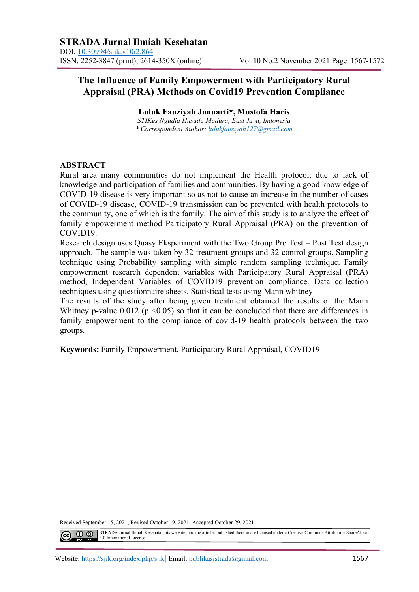# **The Influence of Family Empowerment with Participatory Rural Appraisal (PRA) Methods on Covid19 Prevention Compliance**

**Luluk Fauziyah Januarti\*, Mustofa Haris** *STIKes Ngudia Husada Madura, East Java, Indonesia \* Correspondent Author: [lulukfauziyah127@gmail.com](mailto:lulukfauziyah127@gmail.com)*

#### **ABSTRACT**

Rural area many communities do not implement the Health protocol, due to lack of knowledge and participation of families and communities. By having a good knowledge of COVID-19 disease is very important so as not to cause an increase in the number of cases of COVID-19 disease, COVID-19 transmission can be prevented with health protocols to the community, one of which is the family. The aim of this study is to analyze the effect of family empowerment method Participatory Rural Appraisal (PRA) on the prevention of COVID19.

Research design uses Quasy Eksperiment with the Two Group Pre Test – Post Test design approach. The sample was taken by 32 treatment groups and 32 control groups. Sampling technique using Probability sampling with simple random sampling technique. Family empowerment research dependent variables with Participatory Rural Appraisal (PRA) method, Independent Variables of COVID19 prevention compliance. Data collection techniques using questionnaire sheets. Statistical tests using Mann whitney

The results of the study after being given treatment obtained the results of the Mann Whitney p-value 0.012 ( $p \le 0.05$ ) so that it can be concluded that there are differences in family empowerment to the compliance of covid-19 health protocols between the two groups.

**Keywords:** Family Empowerment, Participatory Rural Appraisal, COVID19

Received September 15, 2021; Revised October 19, 2021; Accepted October 29, 2021

STRADA Jurnal Ilmiah Kesehatan, its website, and the articles published there in are licensed under a Creative Commons Attribution-ShareAlike 4.0 International License.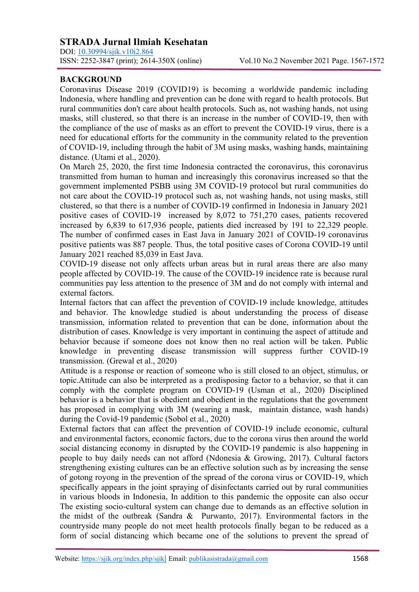DOI: <u>10.30994/sjik.v10i2.864</u><br>ISSN: 2252-3847 (print); 2614-350X (online)

## **BACKGROUND**

Coronavirus Disease 2019 (COVID19) is becoming a worldwide pandemic including Indonesia, where handling and prevention can be done with regard to health protocols. But rural communities don't care about health protocols. Such as, not washing hands, not using masks, still clustered, so that there is an increase in the number of COVID-19, then with the compliance of the use of masks as an effort to prevent the COVID-19 virus, there is a need for educational efforts for the community in the community related to the prevention of COVID-19, including through the habit of 3M using masks, washing hands, maintaining distance. (Utami et al., 2020).

On March 25, 2020, the first time Indonesia contracted the coronavirus, this coronavirus transmitted from human to human and increasingly this coronavirus increased so that the government implemented PSBB using 3M COVID-19 protocol but rural communities do not care about the COVID-19 protocol such as, not washing hands, not using masks, still clustered, so that there is a number of COVID-19 confirmed in Indonesia in January 2021 positive cases of COVID-19 increased by 8,072 to 751,270 cases, patients recovered increased by 6,839 to 617,936 people, patients died increased by 191 to 22,329 people. The number of confirmed cases in East Java in January 2021 of COVID-19 coronavirus positive patients was 887 people. Thus, the total positive cases of Corona COVID-19 until January 2021 reached 85,039 in East Java.

COVID-19 disease not only affects urban areas but in rural areas there are also many people affected by COVID-19. The cause of the COVID-19 incidence rate is because rural communities pay less attention to the presence of 3M and do not comply with internal and external factors.

Internal factors that can affect the prevention of COVID-19 include knowledge, attitudes and behavior. The knowledge studied is about understanding the process of disease transmission, information related to prevention that can be done, information about the distribution of cases. Knowledge is very important in continuing the aspect of attitude and behavior because if someone does not know then no real action will be taken. Public knowledge in preventing disease transmission will suppress further COVID-19 transmission. (Grewal et al., 2020)

Attitude is a response or reaction of someone who is still closed to an object, stimulus, or topic.Attitude can also be interpreted as a predisposing factor to a behavior, so that it can comply with the complete program on COVID-19 (Usman et al., 2020) Disciplined behavior is a behavior that is obedient and obedient in the regulations that the government has proposed in complying with 3M (wearing a mask, maintain distance, wash hands) during the Covid-19 pandemic (Sobol et al., 2020)

External factors that can affect the prevention of COVID-19 include economic, cultural and environmental factors, economic factors, due to the corona virus then around the world social distancing economy in disrupted by the COVID-19 pandemic is also happening in people to buy daily needs can not afford (Ndonesia & Growing, 2017). Cultural factors strengthening existing cultures can be an effective solution such as by increasing the sense of gotong royong in the prevention of the spread of the corona virus or COVID-19, which specifically appears in the joint spraying of disinfectants carried out by rural communities in various bloods in Indonesia, In addition to this pandemic the opposite can also occur The existing socio-cultural system can change due to demands as an effective solution in the midst of the outbreak (Sandra & Purwanto, 2017). Environmental factors in the countryside many people do not meet health protocols finally began to be reduced as a form of social distancing which became one of the solutions to prevent the spread of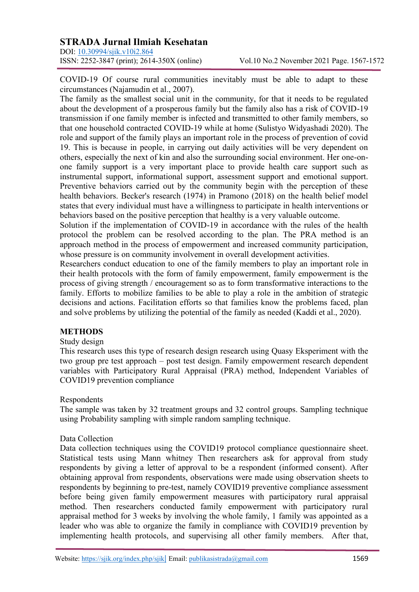## **STRADA Jurnal Ilmiah Kesehatan**

DOI: <u>10.30994/sjik.v10i2.864</u><br>ISSN: 2252-3847 (print); 2614-350X (online)

COVID-19 Of course rural communities inevitably must be able to adapt to these circumstances (Najamudin et al., 2007).

The family as the smallest social unit in the community, for that it needs to be regulated about the development of a prosperous family but the family also has a risk of COVID-19 transmission if one family member is infected and transmitted to other family members, so that one household contracted COVID-19 while at home (Sulistyo Widyashadi 2020). The role and support of the family plays an important role in the process of prevention of covid 19. This is because in people, in carrying out daily activities will be very dependent on others, especially the next of kin and also the surrounding social environment. Her one-onone family support is a very important place to provide health care support such as instrumental support, informational support, assessment support and emotional support. Preventive behaviors carried out by the community begin with the perception of these health behaviors. Becker's research (1974) in Pramono (2018) on the health belief model states that every individual must have a willingness to participate in health interventions or behaviors based on the positive perception that healthy is a very valuable outcome.

Solution if the implementation of COVID-19 in accordance with the rules of the health protocol the problem can be resolved according to the plan. The PRA method is an approach method in the process of empowerment and increased community participation, whose pressure is on community involvement in overall development activities.

Researchers conduct education to one of the family members to play an important role in their health protocols with the form of family empowerment, family empowerment is the process of giving strength / encouragement so as to form transformative interactions to the family. Efforts to mobilize families to be able to play a role in the ambition of strategic decisions and actions. Facilitation efforts so that families know the problems faced, plan and solve problems by utilizing the potential of the family as needed (Kaddi et al., 2020).

## **METHODS**

## Study design

This research uses this type of research design research using Quasy Eksperiment with the two group pre test approach – post test design. Family empowerment research dependent variables with Participatory Rural Appraisal (PRA) method, Independent Variables of COVID19 prevention compliance

#### Respondents

The sample was taken by 32 treatment groups and 32 control groups. Sampling technique using Probability sampling with simple random sampling technique.

#### Data Collection

Data collection techniques using the COVID19 protocol compliance questionnaire sheet. Statistical tests using Mann whitney Then researchers ask for approval from study respondents by giving a letter of approval to be a respondent (informed consent). After obtaining approval from respondents, observations were made using observation sheets to respondents by beginning to pre-test, namely COVID19 preventive compliance assessment before being given family empowerment measures with participatory rural appraisal method. Then researchers conducted family empowerment with participatory rural appraisal method for 3 weeks by involving the whole family, 1 family was appointed as a leader who was able to organize the family in compliance with COVID19 prevention by implementing health protocols, and supervising all other family members. After that,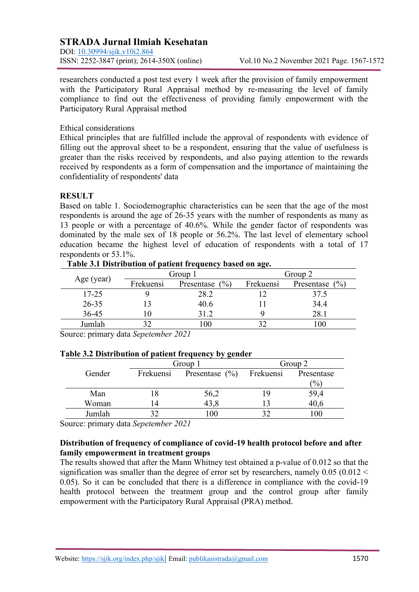## **STRADA Jurnal Ilmiah Kesehatan**

DOI: <u>10.30994/sjik.v10i2.864</u><br>ISSN: 2252-3847 (print); 2614-350X (online)

researchers conducted a post test every 1 week after the provision of family empowerment with the Participatory Rural Appraisal method by re-measuring the level of family compliance to find out the effectiveness of providing family empowerment with the Participatory Rural Appraisal method

Ethical considerations

Ethical principles that are fulfilled include the approval of respondents with evidence of filling out the approval sheet to be a respondent, ensuring that the value of usefulness is greater than the risks received by respondents, and also paying attention to the rewards received by respondents as a form of compensation and the importance of maintaining the confidentiality of respondents' data

## **RESULT**

Based on table 1. Sociodemographic characteristics can be seen that the age of the most respondents is around the age of 26-35 years with the number of respondents as many as 13 people or with a percentage of 40.6%. While the gender factor of respondents was dominated by the male sex of 18 people or 56.2%. The last level of elementary school education became the highest level of education of respondents with a total of 17 respondents or 53.1%.

| Age (year) | Group 1   |                    | Group 2   |                     |
|------------|-----------|--------------------|-----------|---------------------|
|            | Frekuensi | Presentase $(\% )$ | Frekuensi | (0/0)<br>Presentase |
| $17 - 25$  |           | 28.2               |           | 37.5                |
| $26 - 35$  |           | 40.6               |           | 34.4                |
| $36 - 45$  |           | 31.2               |           | 28.1                |
| Jumlah     |           | .00                |           |                     |

#### **Table 3.1 Distribution of patient frequency based on age.**

Source: primary data *Sepetember 2021*

| Twore or Distribution of patient if equency by genuer |           |                          |         |               |  |  |  |
|-------------------------------------------------------|-----------|--------------------------|---------|---------------|--|--|--|
|                                                       | Group 1   |                          | Group 2 |               |  |  |  |
| Gender                                                | Frekuensi | Presentase (%) Frekuensi |         | Presentase    |  |  |  |
|                                                       |           |                          |         | $\frac{1}{2}$ |  |  |  |
| Man                                                   | 18        | 56,2                     |         | 59,4          |  |  |  |
| Woman                                                 | 14        | 43,8                     |         | 40,6          |  |  |  |
| Jumlah                                                |           | $\Omega$                 |         |               |  |  |  |

# **Table 3.2 Distribution of patient frequency by gender**

Source: primary data *Sepetember 2021*

## **Distribution of frequency of compliance of covid-19 health protocol before and after family empowerment in treatment groups**

The results showed that after the Mann Whitney test obtained a p-value of 0.012 so that the signification was smaller than the degree of error set by researchers, namely  $0.05$  ( $0.012 <$ 0.05). So it can be concluded that there is a difference in compliance with the covid-19 health protocol between the treatment group and the control group after family empowerment with the Participatory Rural Appraisal (PRA) method.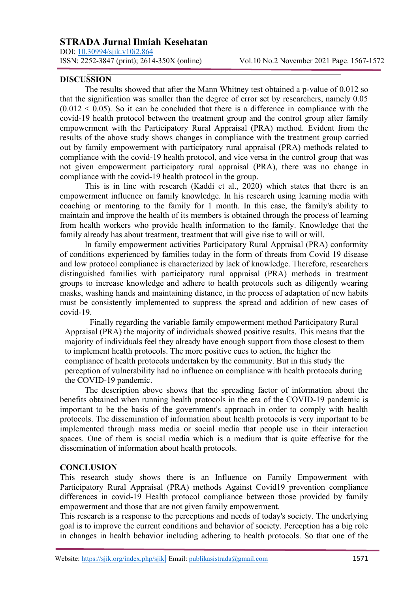## **STRADA Jurnal Ilmiah Kesehatan**

DOI: [10.30994/sjik.v10i2.864](https://doi.org/10.30994/sjik.v10i2.864) ISSN: 2252-3847 (print); 2614-350X (online) Vol.10 No.2 November 2021 Page. 1567-1572

#### **DISCUSSION**

The results showed that after the Mann Whitney test obtained a p-value of 0.012 so that the signification was smaller than the degree of error set by researchers, namely 0.05  $(0.012 \le 0.05)$ . So it can be concluded that there is a difference in compliance with the covid-19 health protocol between the treatment group and the control group after family empowerment with the Participatory Rural Appraisal (PRA) method. Evident from the results of the above study shows changes in compliance with the treatment group carried out by family empowerment with participatory rural appraisal (PRA) methods related to compliance with the covid-19 health protocol, and vice versa in the control group that was not given empowerment participatory rural appraisal (PRA), there was no change in compliance with the covid-19 health protocol in the group.

This is in line with research (Kaddi et al., 2020) which states that there is an empowerment influence on family knowledge. In his research using learning media with coaching or mentoring to the family for 1 month. In this case, the family's ability to maintain and improve the health of its members is obtained through the process of learning from health workers who provide health information to the family. Knowledge that the family already has about treatment, treatment that will give rise to will or will.

In family empowerment activities Participatory Rural Appraisal (PRA) conformity of conditions experienced by families today in the form of threats from Covid 19 disease and low protocol compliance is characterized by lack of knowledge. Therefore, researchers distinguished families with participatory rural appraisal (PRA) methods in treatment groups to increase knowledge and adhere to health protocols such as diligently wearing masks, washing hands and maintaining distance, in the process of adaptation of new habits must be consistently implemented to suppress the spread and addition of new cases of covid-19.

Finally regarding the variable family empowerment method Participatory Rural Appraisal (PRA) the majority of individuals showed positive results. This means that the majority of individuals feel they already have enough support from those closest to them to implement health protocols. The more positive cues to action, the higher the compliance of health protocols undertaken by the community. But in this study the perception of vulnerability had no influence on compliance with health protocols during the COVID-19 pandemic.

The description above shows that the spreading factor of information about the benefits obtained when running health protocols in the era of the COVID-19 pandemic is important to be the basis of the government's approach in order to comply with health protocols. The dissemination of information about health protocols is very important to be implemented through mass media or social media that people use in their interaction spaces. One of them is social media which is a medium that is quite effective for the dissemination of information about health protocols.

#### **CONCLUSION**

This research study shows there is an Influence on Family Empowerment with Participatory Rural Appraisal (PRA) methods Against Covid19 prevention compliance differences in covid-19 Health protocol compliance between those provided by family empowerment and those that are not given family empowerment.

This research is a response to the perceptions and needs of today's society. The underlying goal is to improve the current conditions and behavior of society. Perception has a big role in changes in health behavior including adhering to health protocols. So that one of the